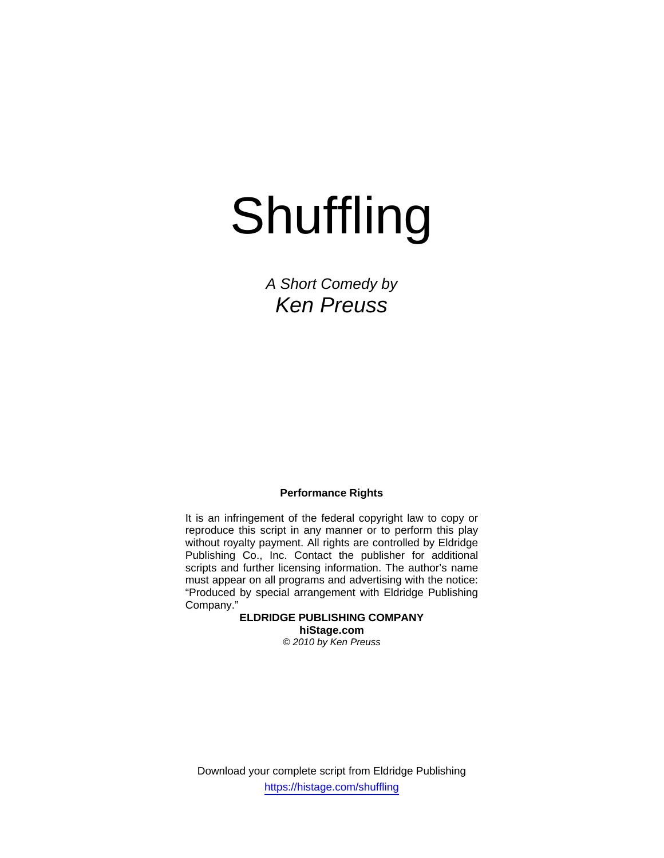# Shuffling

*A Short Comedy by Ken Preuss* 

# **Performance Rights**

It is an infringement of the federal copyright law to copy or reproduce this script in any manner or to perform this play without royalty payment. All rights are controlled by Eldridge Publishing Co., Inc. Contact the publisher for additional scripts and further licensing information. The author's name must appear on all programs and advertising with the notice: "Produced by special arrangement with Eldridge Publishing Company."

> **ELDRIDGE PUBLISHING COMPANY hiStage.com**  *© 2010 by Ken Preuss*

Download your complete script from Eldridge Publishing https://histage.com/shuffling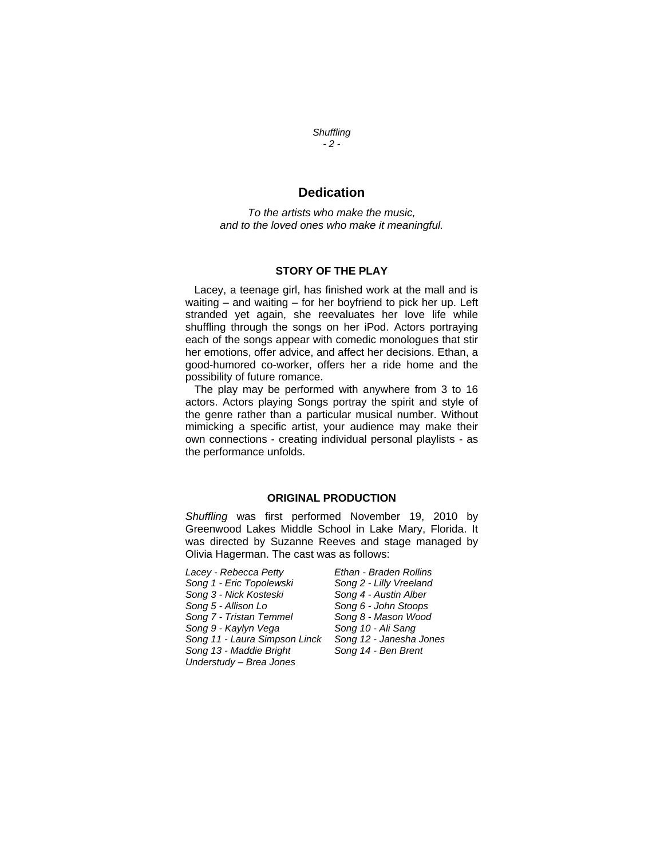*Shuffling - 2 -*

# **Dedication**

*To the artists who make the music, and to the loved ones who make it meaningful.* 

## **STORY OF THE PLAY**

 Lacey, a teenage girl, has finished work at the mall and is waiting – and waiting – for her boyfriend to pick her up. Left stranded yet again, she reevaluates her love life while shuffling through the songs on her iPod. Actors portraying each of the songs appear with comedic monologues that stir her emotions, offer advice, and affect her decisions. Ethan, a good-humored co-worker, offers her a ride home and the possibility of future romance.

 The play may be performed with anywhere from 3 to 16 actors. Actors playing Songs portray the spirit and style of the genre rather than a particular musical number. Without mimicking a specific artist, your audience may make their own connections - creating individual personal playlists - as the performance unfolds.

### **ORIGINAL PRODUCTION**

*Shuffling* was first performed November 19, 2010 by Greenwood Lakes Middle School in Lake Mary, Florida. It was directed by Suzanne Reeves and stage managed by Olivia Hagerman. The cast was as follows:

*Lacey - Rebecca Petty Ethan - Braden Rollins*  Song 1 - Eric Topolewski *Song 3 - Nick Kosteski Song 4 - Austin Alber Song 5 - Allison Lo Song 6 - John Stoops Song 7 - Tristan Temmel Song 8 - Mason Wood Song 9 - Kaylyn Vega Song 10 - Ali Sang Song 11 - Laura Simpson Linck Song 12 - Janesha Jones Song 13 - Maddie Bright Song 14 - Ben Brent Understudy – Brea Jones*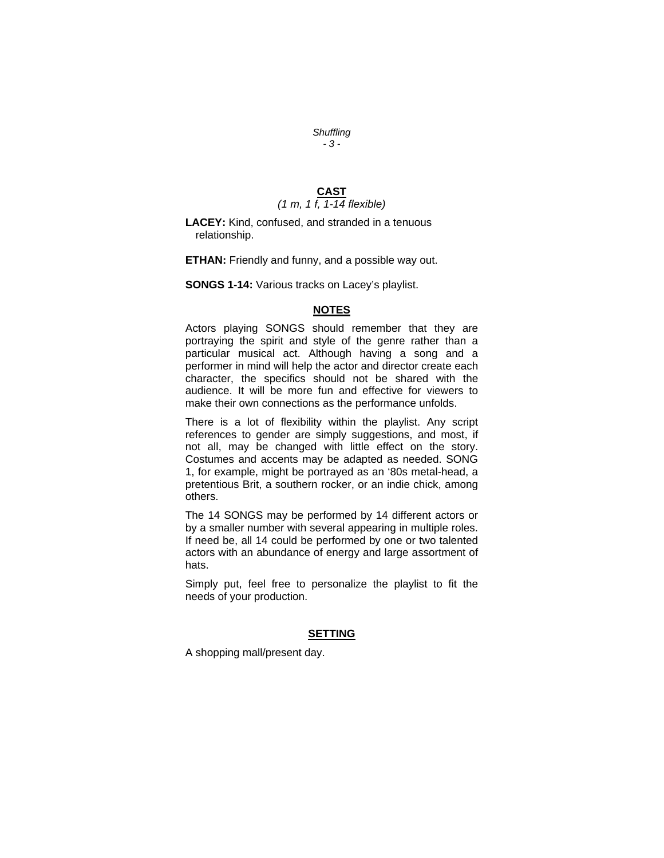#### *Shuffling - 3 -*

# **CAST**  *(1 m, 1 f, 1-14 flexible)*

**LACEY:** Kind, confused, and stranded in a tenuous relationship.

**ETHAN:** Friendly and funny, and a possible way out.

**SONGS 1-14:** Various tracks on Lacey's playlist.

# **NOTES**

Actors playing SONGS should remember that they are portraying the spirit and style of the genre rather than a particular musical act. Although having a song and a performer in mind will help the actor and director create each character, the specifics should not be shared with the audience. It will be more fun and effective for viewers to make their own connections as the performance unfolds.

There is a lot of flexibility within the playlist. Any script references to gender are simply suggestions, and most, if not all, may be changed with little effect on the story. Costumes and accents may be adapted as needed. SONG 1, for example, might be portrayed as an '80s metal-head, a pretentious Brit, a southern rocker, or an indie chick, among others.

The 14 SONGS may be performed by 14 different actors or by a smaller number with several appearing in multiple roles. If need be, all 14 could be performed by one or two talented actors with an abundance of energy and large assortment of hats.

Simply put, feel free to personalize the playlist to fit the needs of your production.

### **SETTING**

A shopping mall/present day.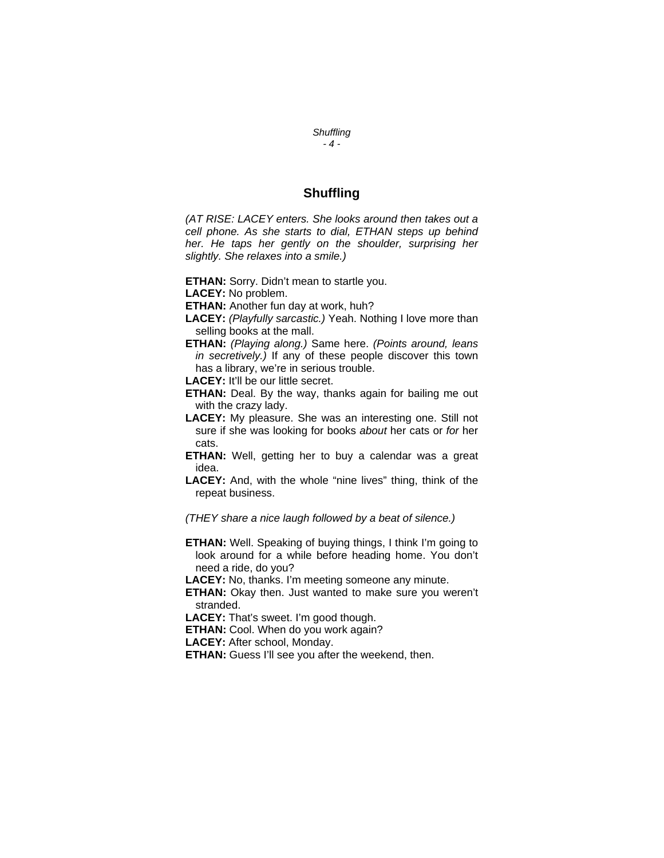*Shuffling - 4 -*

# **Shuffling**

*(AT RISE: LACEY enters. She looks around then takes out a cell phone. As she starts to dial, ETHAN steps up behind her. He taps her gently on the shoulder, surprising her slightly. She relaxes into a smile.)* 

**ETHAN:** Sorry. Didn't mean to startle you.

**LACEY:** No problem.

**ETHAN:** Another fun day at work, huh?

- **LACEY:** *(Playfully sarcastic.)* Yeah. Nothing I love more than selling books at the mall.
- **ETHAN:** *(Playing along.)* Same here. *(Points around, leans in secretively.)* If any of these people discover this town has a library, we're in serious trouble.

**LACEY:** It'll be our little secret.

- **ETHAN:** Deal. By the way, thanks again for bailing me out with the crazy lady.
- **LACEY:** My pleasure. She was an interesting one. Still not sure if she was looking for books *about* her cats or *for* her cats.

**ETHAN:** Well, getting her to buy a calendar was a great idea.

**LACEY:** And, with the whole "nine lives" thing, think of the repeat business.

*(THEY share a nice laugh followed by a beat of silence.)* 

**ETHAN:** Well. Speaking of buying things, I think I'm going to look around for a while before heading home. You don't need a ride, do you?

**LACEY:** No, thanks. I'm meeting someone any minute.

**ETHAN:** Okay then. Just wanted to make sure you weren't stranded.

**LACEY:** That's sweet. I'm good though.

**ETHAN:** Cool. When do you work again?

**LACEY:** After school, Monday.

**ETHAN:** Guess I'll see you after the weekend, then.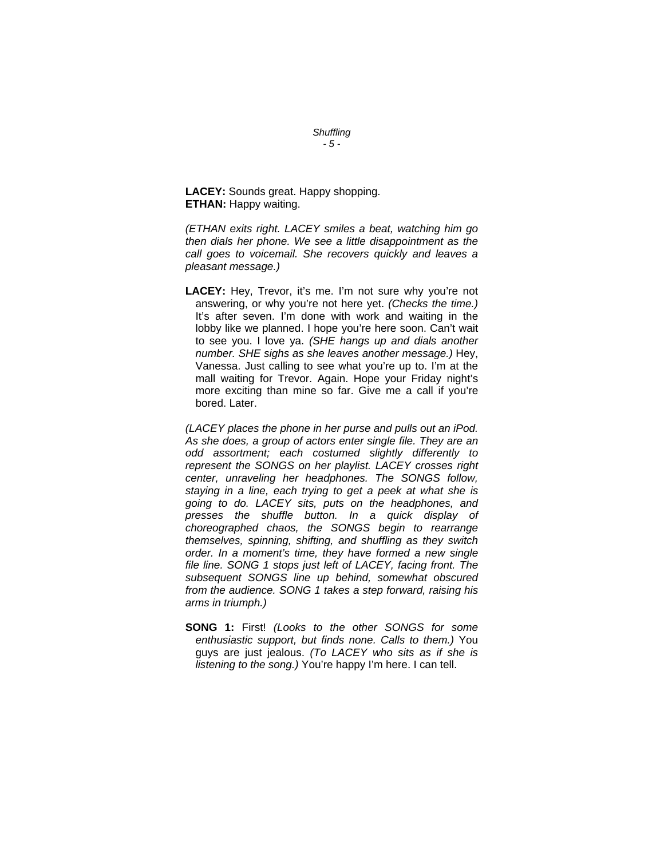**LACEY:** Sounds great. Happy shopping. **ETHAN:** Happy waiting.

*(ETHAN exits right. LACEY smiles a beat, watching him go then dials her phone. We see a little disappointment as the call goes to voicemail. She recovers quickly and leaves a pleasant message.)* 

*Shuffling - 5 -*

**LACEY:** Hey, Trevor, it's me. I'm not sure why you're not answering, or why you're not here yet. *(Checks the time.)*  It's after seven. I'm done with work and waiting in the lobby like we planned. I hope you're here soon. Can't wait to see you. I love ya. *(SHE hangs up and dials another number. SHE sighs as she leaves another message.)* Hey, Vanessa. Just calling to see what you're up to. I'm at the mall waiting for Trevor. Again. Hope your Friday night's more exciting than mine so far. Give me a call if you're bored. Later.

*(LACEY places the phone in her purse and pulls out an iPod. As she does, a group of actors enter single file. They are an odd assortment; each costumed slightly differently to represent the SONGS on her playlist. LACEY crosses right center, unraveling her headphones. The SONGS follow, staying in a line, each trying to get a peek at what she is going to do. LACEY sits, puts on the headphones, and presses the shuffle button. In a quick display of choreographed chaos, the SONGS begin to rearrange themselves, spinning, shifting, and shuffling as they switch order. In a moment's time, they have formed a new single file line. SONG 1 stops just left of LACEY, facing front. The subsequent SONGS line up behind, somewhat obscured from the audience. SONG 1 takes a step forward, raising his arms in triumph.)* 

**SONG 1:** First! *(Looks to the other SONGS for some enthusiastic support, but finds none. Calls to them.)* You guys are just jealous. *(To LACEY who sits as if she is listening to the song.)* You're happy I'm here. I can tell.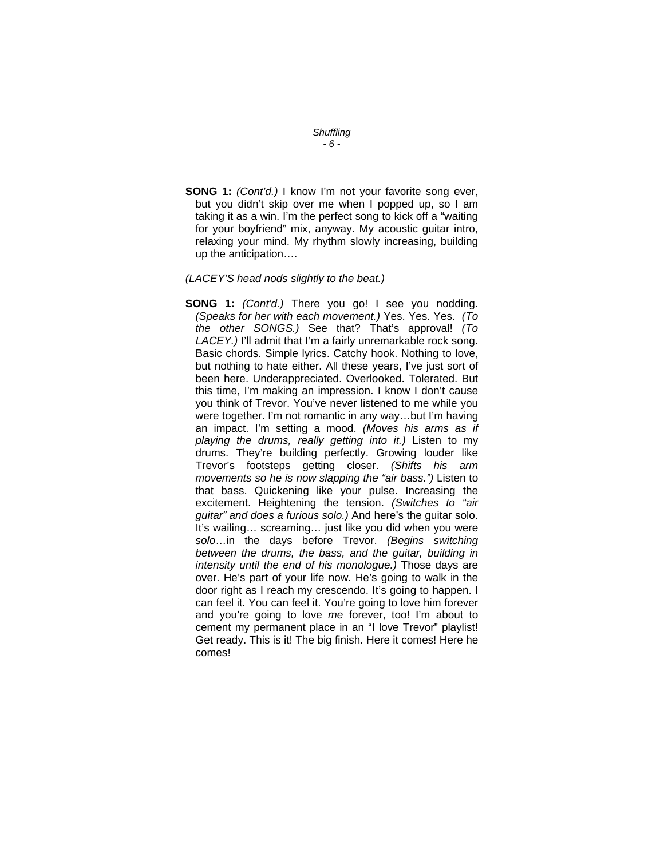#### *Shuffling - 6 -*

**SONG 1:** *(Cont'd.)* I know I'm not your favorite song ever, but you didn't skip over me when I popped up, so I am taking it as a win. I'm the perfect song to kick off a "waiting for your boyfriend" mix, anyway. My acoustic guitar intro, relaxing your mind. My rhythm slowly increasing, building up the anticipation….

#### *(LACEY'S head nods slightly to the beat.)*

**SONG 1:** *(Cont'd.)* There you go! I see you nodding. *(Speaks for her with each movement.)* Yes. Yes. Yes. *(To the other SONGS.)* See that? That's approval! *(To LACEY.)* I'll admit that I'm a fairly unremarkable rock song. Basic chords. Simple lyrics. Catchy hook. Nothing to love, but nothing to hate either. All these years, I've just sort of been here. Underappreciated. Overlooked. Tolerated. But this time, I'm making an impression. I know I don't cause you think of Trevor. You've never listened to me while you were together. I'm not romantic in any way…but I'm having an impact. I'm setting a mood. *(Moves his arms as if playing the drums, really getting into it.)* Listen to my drums. They're building perfectly. Growing louder like Trevor's footsteps getting closer. *(Shifts his arm movements so he is now slapping the "air bass.")* Listen to that bass. Quickening like your pulse. Increasing the excitement. Heightening the tension. *(Switches to "air guitar" and does a furious solo.)* And here's the guitar solo. It's wailing… screaming… just like you did when you were *solo*…in the days before Trevor. *(Begins switching between the drums, the bass, and the guitar, building in intensity until the end of his monologue.)* Those days are over. He's part of your life now. He's going to walk in the door right as I reach my crescendo. It's going to happen. I can feel it. You can feel it. You're going to love him forever and you're going to love *me* forever, too! I'm about to cement my permanent place in an "I love Trevor" playlist! Get ready. This is it! The big finish. Here it comes! Here he comes!